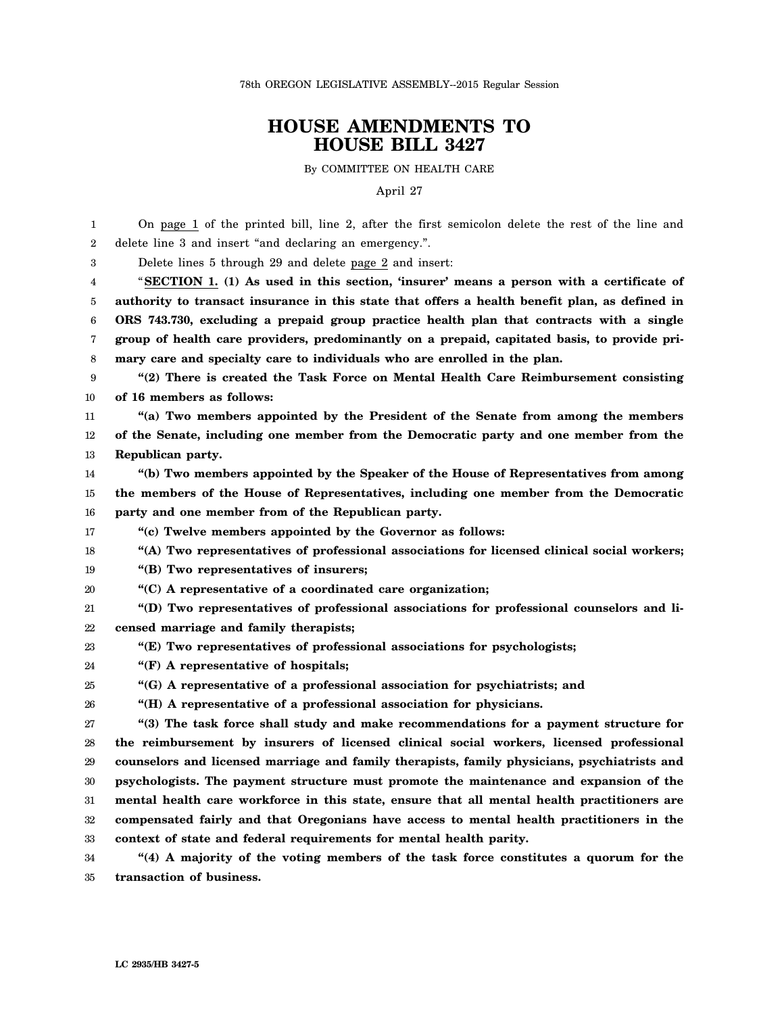78th OREGON LEGISLATIVE ASSEMBLY--2015 Regular Session

## **HOUSE AMENDMENTS TO HOUSE BILL 3427**

By COMMITTEE ON HEALTH CARE

April 27

| 1               | On page 1 of the printed bill, line 2, after the first semicolon delete the rest of the line and |
|-----------------|--------------------------------------------------------------------------------------------------|
| $\overline{2}$  | delete line 3 and insert "and declaring an emergency.".                                          |
| 3               | Delete lines 5 through 29 and delete page 2 and insert:                                          |
| 4               | "SECTION 1. (1) As used in this section, 'insurer' means a person with a certificate of          |
| 5               | authority to transact insurance in this state that offers a health benefit plan, as defined in   |
| $6\phantom{1}6$ | ORS 743.730, excluding a prepaid group practice health plan that contracts with a single         |
| 7               | group of health care providers, predominantly on a prepaid, capitated basis, to provide pri-     |
| 8               | mary care and specialty care to individuals who are enrolled in the plan.                        |
| 9               | "(2) There is created the Task Force on Mental Health Care Reimbursement consisting              |
| 10              | of 16 members as follows:                                                                        |
| 11              | "(a) Two members appointed by the President of the Senate from among the members                 |
| 12              | of the Senate, including one member from the Democratic party and one member from the            |
| 13              | Republican party.                                                                                |
| 14              | "(b) Two members appointed by the Speaker of the House of Representatives from among             |
| 15              | the members of the House of Representatives, including one member from the Democratic            |
| 16              | party and one member from of the Republican party.                                               |
| 17              | "(c) Twelve members appointed by the Governor as follows:                                        |
| 18              | "(A) Two representatives of professional associations for licensed clinical social workers;      |
| 19              | "(B) Two representatives of insurers;                                                            |
| 20              | "(C) A representative of a coordinated care organization;                                        |
| 21              | "(D) Two representatives of professional associations for professional counselors and li-        |
| 22              | censed marriage and family therapists;                                                           |
| 23              | $\cdot$ "(E) Two representatives of professional associations for psychologists;                 |
| 24              | "(F) A representative of hospitals;                                                              |
| 25              | "(G) A representative of a professional association for psychiatrists; and                       |
| 26              | "(H) A representative of a professional association for physicians.                              |
| 27              | "(3) The task force shall study and make recommendations for a payment structure for             |
| 28              | the reimbursement by insurers of licensed clinical social workers, licensed professional         |
| 29              | counselors and licensed marriage and family therapists, family physicians, psychiatrists and     |
| 30              | psychologists. The payment structure must promote the maintenance and expansion of the           |
| 31              | mental health care workforce in this state, ensure that all mental health practitioners are      |
| 32              | compensated fairly and that Oregonians have access to mental health practitioners in the         |
| 33              | context of state and federal requirements for mental health parity.                              |
| 34              | "(4) A majority of the voting members of the task force constitutes a quorum for the             |
| 35              | transaction of business.                                                                         |